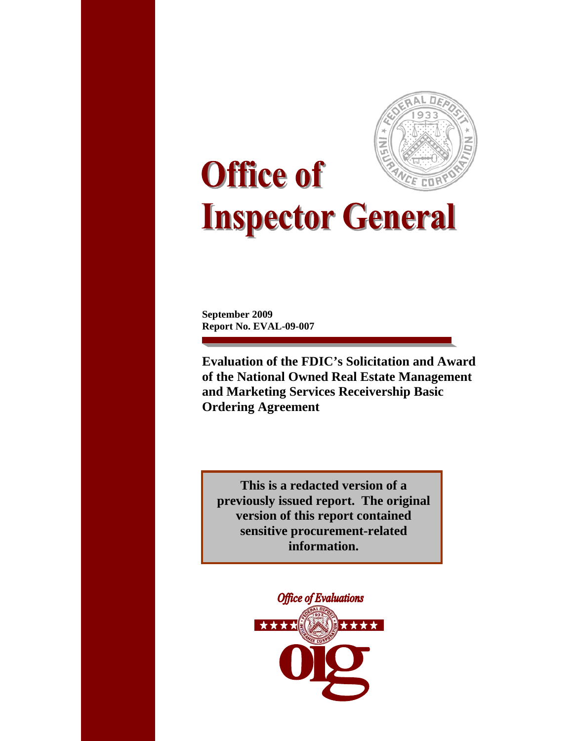

# **Office of Inspector General**

**September 2009 Report No. EVAL-09-007**

**Evaluation of the FDIC's Solicitation and Award of the National Owned Real Estate Management and Marketing Services Receivership Basic Ordering Agreement** 

**This is a redacted version of a previously issued report. The original version of this report contained sensitive procurement-related information.** 

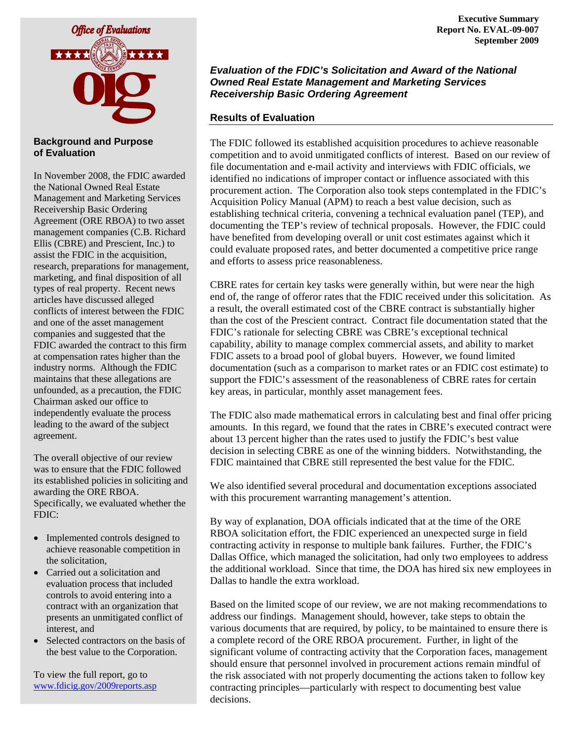

#### **Background and Purpose of Evaluation**

In November 2008, the FDIC awarded the National Owned Real Estate Management and Marketing Services Receivership Basic Ordering Agreement (ORE RBOA) to two asset management companies (C.B. Richard Ellis (CBRE) and Prescient, Inc.) to assist the FDIC in the acquisition, research, preparations for management, marketing, and final disposition of all types of real property. Recent news articles have discussed alleged conflicts of interest between the FDIC and one of the asset management companies and suggested that the FDIC awarded the contract to this firm at compensation rates higher than the industry norms. Although the FDIC maintains that these allegations are unfounded, as a precaution, the FDIC Chairman asked our office to independently evaluate the process leading to the award of the subject agreement.

The overall objective of our review was to ensure that the FDIC followed its established policies in soliciting and awarding the ORE RBOA. Specifically, we evaluated whether the FDIC:

- Implemented controls designed to achieve reasonable competition in the solicitation,
- Carried out a solicitation and evaluation process that included controls to avoid entering into a contract with an organization that presents an unmitigated conflict of interest, and
- Selected contractors on the basis of the best value to the Corporation.

To view the full report, go to [www.fdicig.gov/2009reports.asp](http://www.fdicig.gov/2009reports.asp)

#### *Evaluation of the FDIC's Solicitation and Award of the National Owned Real Estate Management and Marketing Services Receivership Basic Ordering Agreement*

## **Results of Evaluation**

The FDIC followed its established acquisition procedures to achieve reasonable competition and to avoid unmitigated conflicts of interest. Based on our review of file documentation and e-mail activity and interviews with FDIC officials, we identified no indications of improper contact or influence associated with this procurement action. The Corporation also took steps contemplated in the FDIC's Acquisition Policy Manual (APM) to reach a best value decision, such as establishing technical criteria, convening a technical evaluation panel (TEP), and documenting the TEP's review of technical proposals. However, the FDIC could have benefited from developing overall or unit cost estimates against which it could evaluate proposed rates, and better documented a competitive price range and efforts to assess price reasonableness.

CBRE rates for certain key tasks were generally within, but were near the high end of, the range of offeror rates that the FDIC received under this solicitation. As a result, the overall estimated cost of the CBRE contract is substantially higher than the cost of the Prescient contract. Contract file documentation stated that the FDIC's rationale for selecting CBRE was CBRE's exceptional technical capability, ability to manage complex commercial assets, and ability to market FDIC assets to a broad pool of global buyers. However, we found limited documentation (such as a comparison to market rates or an FDIC cost estimate) to support the FDIC's assessment of the reasonableness of CBRE rates for certain key areas, in particular, monthly asset management fees.

The FDIC also made mathematical errors in calculating best and final offer pricing amounts. In this regard, we found that the rates in CBRE's executed contract were about 13 percent higher than the rates used to justify the FDIC's best value decision in selecting CBRE as one of the winning bidders. Notwithstanding, the FDIC maintained that CBRE still represented the best value for the FDIC.

We also identified several procedural and documentation exceptions associated with this procurement warranting management's attention.

By way of explanation, DOA officials indicated that at the time of the ORE RBOA solicitation effort, the FDIC experienced an unexpected surge in field contracting activity in response to multiple bank failures. Further, the FDIC's Dallas Office, which managed the solicitation, had only two employees to address the additional workload. Since that time, the DOA has hired six new employees in Dallas to handle the extra workload.

Based on the limited scope of our review, we are not making recommendations to address our findings. Management should, however, take steps to obtain the various documents that are required, by policy, to be maintained to ensure there is a complete record of the ORE RBOA procurement. Further, in light of the significant volume of contracting activity that the Corporation faces, management should ensure that personnel involved in procurement actions remain mindful of the risk associated with not properly documenting the actions taken to follow key contracting principles—particularly with respect to documenting best value decisions.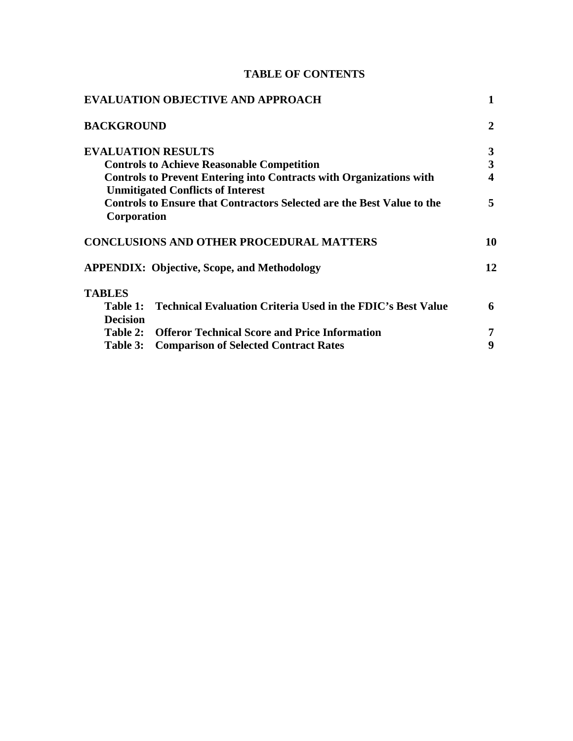# **TABLE OF CONTENTS**

| 1  |
|----|
| 2  |
| 3  |
| 3  |
| 4  |
| 5  |
| 10 |
| 12 |
|    |
| 6  |
|    |
|    |
| 9  |
|    |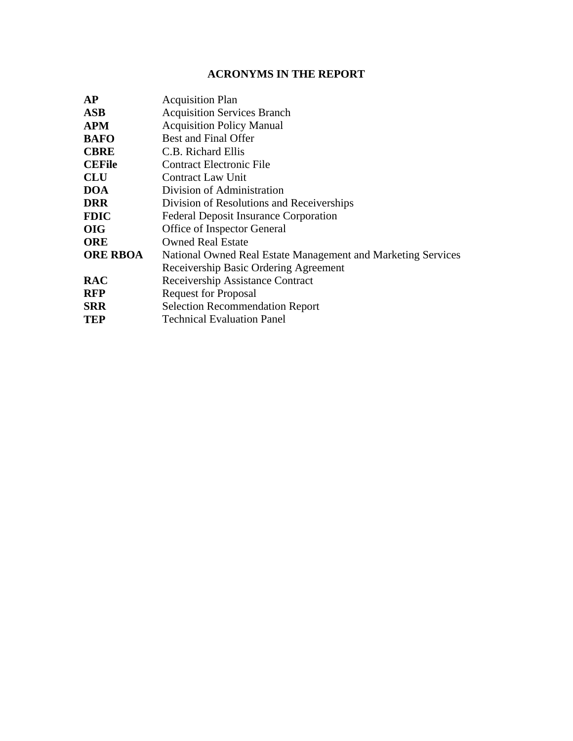# **ACRONYMS IN THE REPORT**

| <b>AP</b>       | <b>Acquisition Plan</b>                                      |
|-----------------|--------------------------------------------------------------|
| <b>ASB</b>      | <b>Acquisition Services Branch</b>                           |
| <b>APM</b>      | <b>Acquisition Policy Manual</b>                             |
| <b>BAFO</b>     | <b>Best and Final Offer</b>                                  |
| <b>CBRE</b>     | C.B. Richard Ellis                                           |
| <b>CEFile</b>   | <b>Contract Electronic File</b>                              |
| <b>CLU</b>      | <b>Contract Law Unit</b>                                     |
| <b>DOA</b>      | Division of Administration                                   |
| <b>DRR</b>      | Division of Resolutions and Receiverships                    |
| <b>FDIC</b>     | <b>Federal Deposit Insurance Corporation</b>                 |
| <b>OIG</b>      | Office of Inspector General                                  |
| <b>ORE</b>      | <b>Owned Real Estate</b>                                     |
| <b>ORE RBOA</b> | National Owned Real Estate Management and Marketing Services |
|                 | Receivership Basic Ordering Agreement                        |
| <b>RAC</b>      | Receivership Assistance Contract                             |
| <b>RFP</b>      | <b>Request for Proposal</b>                                  |
| <b>SRR</b>      | <b>Selection Recommendation Report</b>                       |
| <b>TEP</b>      | <b>Technical Evaluation Panel</b>                            |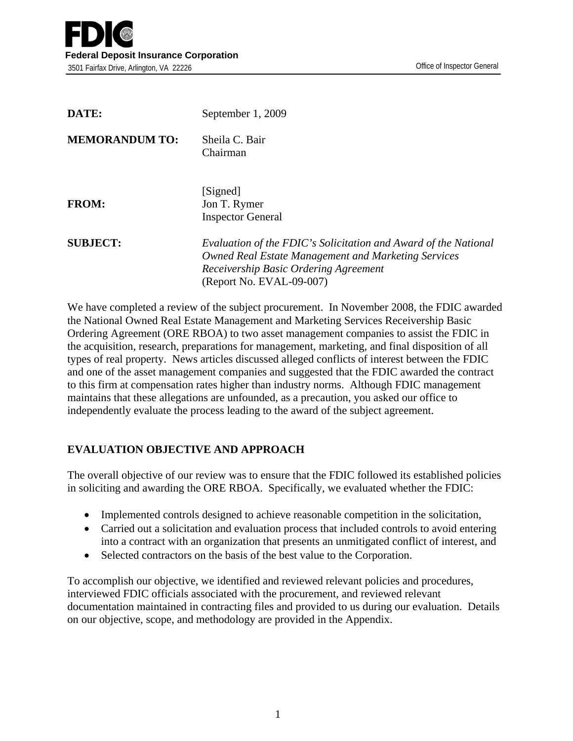| DATE:                 | September 1, 2009                                                                                                                                                                           |
|-----------------------|---------------------------------------------------------------------------------------------------------------------------------------------------------------------------------------------|
| <b>MEMORANDUM TO:</b> | Sheila C. Bair<br>Chairman                                                                                                                                                                  |
| <b>FROM:</b>          | [Signed]<br>Jon T. Rymer<br><b>Inspector General</b>                                                                                                                                        |
| <b>SUBJECT:</b>       | Evaluation of the FDIC's Solicitation and Award of the National<br>Owned Real Estate Management and Marketing Services<br>Receivership Basic Ordering Agreement<br>(Report No. EVAL-09-007) |

We have completed a review of the subject procurement. In November 2008, the FDIC awarded the National Owned Real Estate Management and Marketing Services Receivership Basic Ordering Agreement (ORE RBOA) to two asset management companies to assist the FDIC in the acquisition, research, preparations for management, marketing, and final disposition of all types of real property. News articles discussed alleged conflicts of interest between the FDIC and one of the asset management companies and suggested that the FDIC awarded the contract to this firm at compensation rates higher than industry norms. Although FDIC management maintains that these allegations are unfounded, as a precaution, you asked our office to independently evaluate the process leading to the award of the subject agreement.

## **EVALUATION OBJECTIVE AND APPROACH**

The overall objective of our review was to ensure that the FDIC followed its established policies in soliciting and awarding the ORE RBOA. Specifically, we evaluated whether the FDIC:

- Implemented controls designed to achieve reasonable competition in the solicitation,
- Carried out a solicitation and evaluation process that included controls to avoid entering into a contract with an organization that presents an unmitigated conflict of interest, and
- Selected contractors on the basis of the best value to the Corporation.

To accomplish our objective, we identified and reviewed relevant policies and procedures, interviewed FDIC officials associated with the procurement, and reviewed relevant documentation maintained in contracting files and provided to us during our evaluation. Details on our objective, scope, and methodology are provided in the Appendix.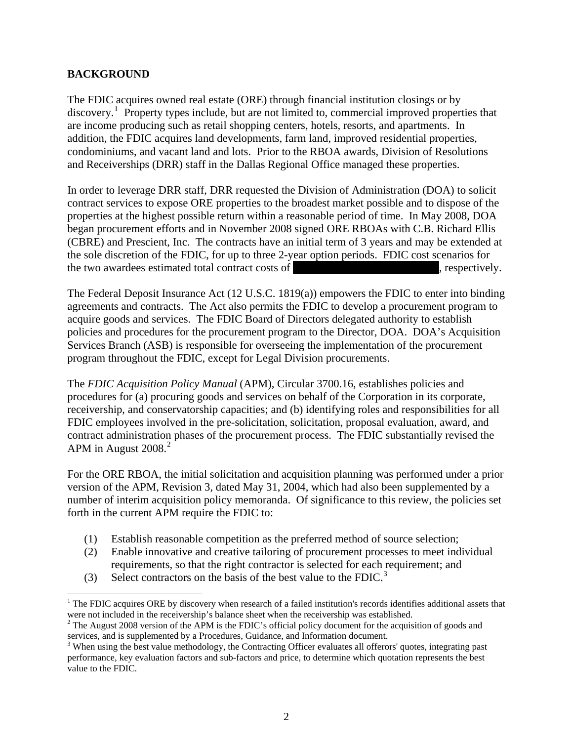## **BACKGROUND**

 $\overline{a}$ 

The FDIC acquires owned real estate (ORE) through financial institution closings or by discovery.<sup>[1](#page-5-0)</sup> Property types include, but are not limited to, commercial improved properties that are income producing such as retail shopping centers, hotels, resorts, and apartments. In addition, the FDIC acquires land developments, farm land, improved residential properties, condominiums, and vacant land and lots. Prior to the RBOA awards, Division of Resolutions and Receiverships (DRR) staff in the Dallas Regional Office managed these properties.

In order to leverage DRR staff, DRR requested the Division of Administration (DOA) to solicit contract services to expose ORE properties to the broadest market possible and to dispose of the properties at the highest possible return within a reasonable period of time. In May 2008, DOA began procurement efforts and in November 2008 signed ORE RBOAs with C.B. Richard Ellis (CBRE) and Prescient, Inc. The contracts have an initial term of 3 years and may be extended at the sole discretion of the FDIC, for up to three 2-year option periods. FDIC cost scenarios for the two awardees estimated total contract costs of \*\*\*\*\*\*\*\*\*\*\*\*\*\*\*\*\*\*\*\*\*\*\*\*\*\*, respectively.

The Federal Deposit Insurance Act (12 U.S.C. 1819(a)) empowers the FDIC to enter into binding agreements and contracts. The Act also permits the FDIC to develop a procurement program to acquire goods and services. The FDIC Board of Directors delegated authority to establish policies and procedures for the procurement program to the Director, DOA. DOA's Acquisition Services Branch (ASB) is responsible for overseeing the implementation of the procurement program throughout the FDIC, except for Legal Division procurements.

The *FDIC Acquisition Policy Manual* (APM), Circular 3700.16, establishes policies and procedures for (a) procuring goods and services on behalf of the Corporation in its corporate, receivership, and conservatorship capacities; and (b) identifying roles and responsibilities for all FDIC employees involved in the pre-solicitation, solicitation, proposal evaluation, award, and contract administration phases of the procurement process. The FDIC substantially revised the APM in August [2](#page-5-1)008.<sup>2</sup>

For the ORE RBOA, the initial solicitation and acquisition planning was performed under a prior version of the APM, Revision 3, dated May 31, 2004, which had also been supplemented by a number of interim acquisition policy memoranda. Of significance to this review, the policies set forth in the current APM require the FDIC to:

- (1) Establish reasonable competition as the preferred method of source selection;
- (2) Enable innovative and creative tailoring of procurement processes to meet individual requirements, so that the right contractor is selected for each requirement; and
- ([3](#page-6-0)) Select contractors on the basis of the best value to the FDIC.<sup>3</sup>

<span id="page-5-0"></span> $1$  The FDIC acquires ORE by discovery when research of a failed institution's records identifies additional assets that were not included in the receivership's balance sheet when the receivership was established. 2

<span id="page-5-1"></span> $2$  The August 2008 version of the APM is the FDIC's official policy document for the acquisition of goods and services, and is supplemented by a Procedures, Guidance, and Information document.

<sup>&</sup>lt;sup>3</sup> When using the best value methodology, the Contracting Officer evaluates all offerors' quotes, integrating past performance, key evaluation factors and sub-factors and price, to determine which quotation represents the best value to the FDIC.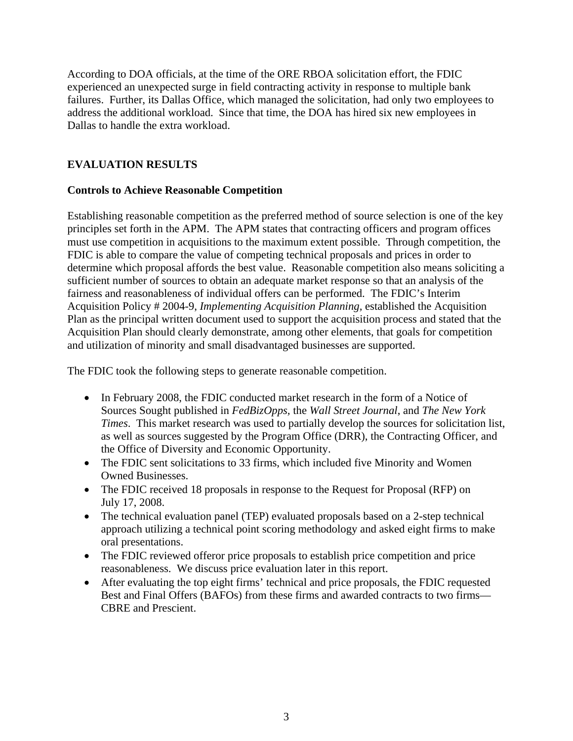According to DOA officials, at the time of the ORE RBOA solicitation effort, the FDIC experienced an unexpected surge in field contracting activity in response to multiple bank failures. Further, its Dallas Office, which managed the solicitation, had only two employees to address the additional workload. Since that time, the DOA has hired six new employees in Dallas to handle the extra workload.

## **EVALUATION RESULTS**

## **Controls to Achieve Reasonable Competition**

Establishing reasonable competition as the preferred method of source selection is one of the key principles set forth in the APM. The APM states that contracting officers and program offices must use competition in acquisitions to the maximum extent possible. Through competition, the FDIC is able to compare the value of competing technical proposals and prices in order to determine which proposal affords the best value. Reasonable competition also means soliciting a sufficient number of sources to obtain an adequate market response so that an analysis of the fairness and reasonableness of individual offers can be performed. The FDIC's Interim Acquisition Policy # 2004-9, *Implementing Acquisition Planning,* established the Acquisition Plan as the principal written document used to support the acquisition process and stated that the Acquisition Plan should clearly demonstrate, among other elements, that goals for competition and utilization of minority and small disadvantaged businesses are supported.

The FDIC took the following steps to generate reasonable competition.

- In February 2008, the FDIC conducted market research in the form of a Notice of Sources Sought published in *FedBizOpps,* the *Wall Street Journal*, and *The New York Times*. This market research was used to partially develop the sources for solicitation list, as well as sources suggested by the Program Office (DRR), the Contracting Officer, and the Office of Diversity and Economic Opportunity.
- The FDIC sent solicitations to 33 firms, which included five Minority and Women Owned Businesses.
- The FDIC received 18 proposals in response to the Request for Proposal (RFP) on July 17, 2008.
- The technical evaluation panel (TEP) evaluated proposals based on a 2-step technical approach utilizing a technical point scoring methodology and asked eight firms to make oral presentations.
- The FDIC reviewed offeror price proposals to establish price competition and price reasonableness. We discuss price evaluation later in this report.
- <span id="page-6-0"></span>• After evaluating the top eight firms' technical and price proposals, the FDIC requested Best and Final Offers (BAFOs) from these firms and awarded contracts to two firms— CBRE and Prescient.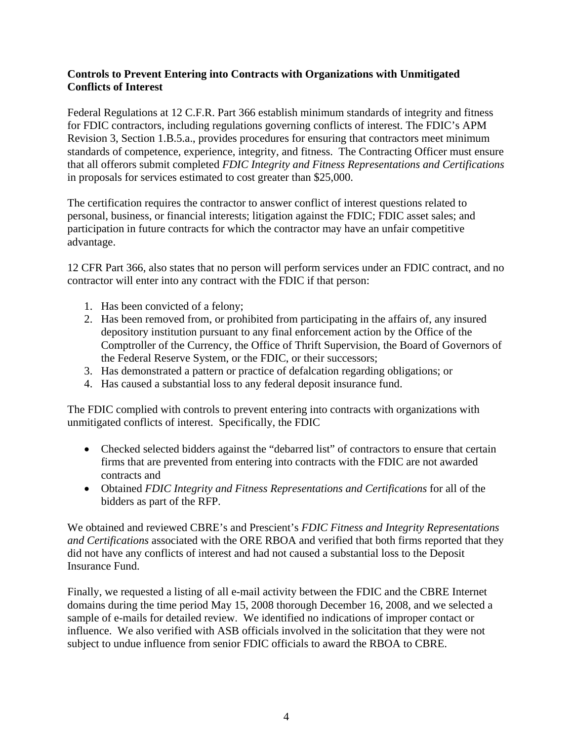## **Controls to Prevent Entering into Contracts with Organizations with Unmitigated Conflicts of Interest**

Federal Regulations at 12 C.F.R. Part 366 establish minimum standards of integrity and fitness for FDIC contractors, including regulations governing conflicts of interest. The FDIC's APM Revision 3, Section 1.B.5.a., provides procedures for ensuring that contractors meet minimum standards of competence, experience, integrity, and fitness. The Contracting Officer must ensure that all offerors submit completed *FDIC Integrity and Fitness Representations and Certifications*  in proposals for services estimated to cost greater than \$25,000.

The certification requires the contractor to answer conflict of interest questions related to personal, business, or financial interests; litigation against the FDIC; FDIC asset sales; and participation in future contracts for which the contractor may have an unfair competitive advantage.

12 CFR Part 366, also states that no person will perform services under an FDIC contract, and no contractor will enter into any contract with the FDIC if that person:

- 1. Has been convicted of a felony;
- 2. Has been removed from, or prohibited from participating in the affairs of, any insured depository institution pursuant to any final enforcement action by the Office of the Comptroller of the Currency, the Office of Thrift Supervision, the Board of Governors of the Federal Reserve System, or the FDIC, or their successors;
- 3. Has demonstrated a pattern or practice of defalcation regarding obligations; or
- 4. Has caused a substantial loss to any federal deposit insurance fund.

The FDIC complied with controls to prevent entering into contracts with organizations with unmitigated conflicts of interest. Specifically, the FDIC

- Checked selected bidders against the "debarred list" of contractors to ensure that certain firms that are prevented from entering into contracts with the FDIC are not awarded contracts and
- Obtained *FDIC Integrity and Fitness Representations and Certifications* for all of the bidders as part of the RFP.

We obtained and reviewed CBRE's and Prescient's *FDIC Fitness and Integrity Representations and Certifications* associated with the ORE RBOA and verified that both firms reported that they did not have any conflicts of interest and had not caused a substantial loss to the Deposit Insurance Fund.

Finally, we requested a listing of all e-mail activity between the FDIC and the CBRE Internet domains during the time period May 15, 2008 thorough December 16, 2008, and we selected a sample of e-mails for detailed review. We identified no indications of improper contact or influence. We also verified with ASB officials involved in the solicitation that they were not subject to undue influence from senior FDIC officials to award the RBOA to CBRE.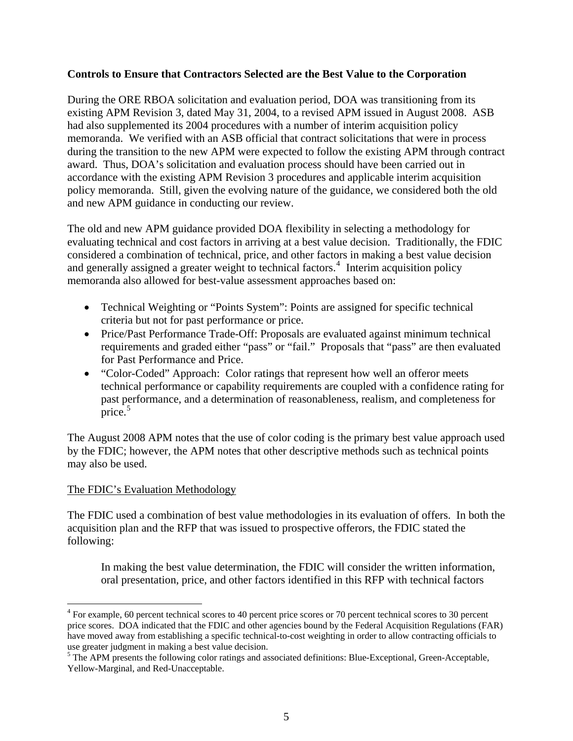#### **Controls to Ensure that Contractors Selected are the Best Value to the Corporation**

During the ORE RBOA solicitation and evaluation period, DOA was transitioning from its existing APM Revision 3, dated May 31, 2004, to a revised APM issued in August 2008. ASB had also supplemented its 2004 procedures with a number of interim acquisition policy memoranda. We verified with an ASB official that contract solicitations that were in process during the transition to the new APM were expected to follow the existing APM through contract award. Thus, DOA's solicitation and evaluation process should have been carried out in accordance with the existing APM Revision 3 procedures and applicable interim acquisition policy memoranda. Still, given the evolving nature of the guidance, we considered both the old and new APM guidance in conducting our review.

The old and new APM guidance provided DOA flexibility in selecting a methodology for evaluating technical and cost factors in arriving at a best value decision. Traditionally, the FDIC considered a combination of technical, price, and other factors in making a best value decision and generally assigned a greater weight to technical factors.<sup>[4](#page-8-0)</sup> Interim acquisition policy memoranda also allowed for best-value assessment approaches based on:

- Technical Weighting or "Points System": Points are assigned for specific technical criteria but not for past performance or price.
- Price/Past Performance Trade-Off: Proposals are evaluated against minimum technical requirements and graded either "pass" or "fail." Proposals that "pass" are then evaluated for Past Performance and Price.
- "Color-Coded" Approach: Color ratings that represent how well an offeror meets technical performance or capability requirements are coupled with a confidence rating for past performance, and a determination of reasonableness, realism, and completeness for price.<sup>[5](#page-8-1)</sup>

The August 2008 APM notes that the use of color coding is the primary best value approach used by the FDIC; however, the APM notes that other descriptive methods such as technical points may also be used.

## The FDIC's Evaluation Methodology

 $\overline{a}$ 

The FDIC used a combination of best value methodologies in its evaluation of offers. In both the acquisition plan and the RFP that was issued to prospective offerors, the FDIC stated the following:

In making the best value determination, the FDIC will consider the written information, oral presentation, price, and other factors identified in this RFP with technical factors

<span id="page-8-0"></span><sup>&</sup>lt;sup>4</sup> For example, 60 percent technical scores to 40 percent price scores or 70 percent technical scores to 30 percent price scores. DOA indicated that the FDIC and other agencies bound by the Federal Acquisition Regulations (FAR) have moved away from establishing a specific technical-to-cost weighting in order to allow contracting officials to use greater judgment in making a best value decision.

<span id="page-8-1"></span><sup>&</sup>lt;sup>5</sup> The APM presents the following color ratings and associated definitions: Blue-Exceptional, Green-Acceptable, Yellow-Marginal, and Red-Unacceptable.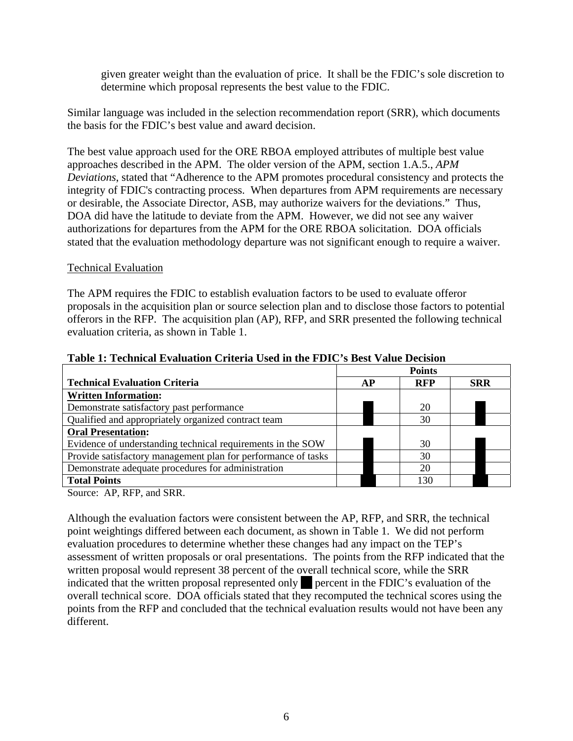given greater weight than the evaluation of price. It shall be the FDIC's sole discretion to determine which proposal represents the best value to the FDIC.

Similar language was included in the selection recommendation report (SRR), which documents the basis for the FDIC's best value and award decision.

The best value approach used for the ORE RBOA employed attributes of multiple best value approaches described in the APM. The older version of the APM, section 1.A.5., *APM Deviations*, stated that "Adherence to the APM promotes procedural consistency and protects the integrity of FDIC's contracting process. When departures from APM requirements are necessary or desirable, the Associate Director, ASB, may authorize waivers for the deviations." Thus, DOA did have the latitude to deviate from the APM. However, we did not see any waiver authorizations for departures from the APM for the ORE RBOA solicitation. DOA officials stated that the evaluation methodology departure was not significant enough to require a waiver.

#### Technical Evaluation

The APM requires the FDIC to establish evaluation factors to be used to evaluate offeror proposals in the acquisition plan or source selection plan and to disclose those factors to potential offerors in the RFP. The acquisition plan (AP), RFP, and SRR presented the following technical evaluation criteria, as shown in Table 1.

|                                                               | <b>Points</b> |  |            |            |  |
|---------------------------------------------------------------|---------------|--|------------|------------|--|
| <b>Technical Evaluation Criteria</b>                          | <b>AP</b>     |  | <b>RFP</b> | <b>SRR</b> |  |
| <b>Written Information:</b>                                   |               |  |            |            |  |
| Demonstrate satisfactory past performance                     |               |  | 20         |            |  |
| Qualified and appropriately organized contract team           |               |  | 30         |            |  |
| <b>Oral Presentation:</b>                                     |               |  |            |            |  |
| Evidence of understanding technical requirements in the SOW   |               |  | 30         |            |  |
| Provide satisfactory management plan for performance of tasks |               |  | 30         |            |  |
| Demonstrate adequate procedures for administration            |               |  | 20         |            |  |
| <b>Total Points</b>                                           |               |  | 130        |            |  |
|                                                               |               |  |            |            |  |

#### **Table 1: Technical Evaluation Criteria Used in the FDIC's Best Value Decision**

Source: AP, RFP, and SRR.

Although the evaluation factors were consistent between the AP, RFP, and SRR, the technical point weightings differed between each document, as shown in Table 1. We did not perform evaluation procedures to determine whether these changes had any impact on the TEP's assessment of written proposals or oral presentations. The points from the RFP indicated that the written proposal would represent 38 percent of the overall technical score, while the SRR indicated that the written proposal represented only sepercent in the FDIC's evaluation of the overall technical score. DOA officials stated that they recomputed the technical scores using the points from the RFP and concluded that the technical evaluation results would not have been any different.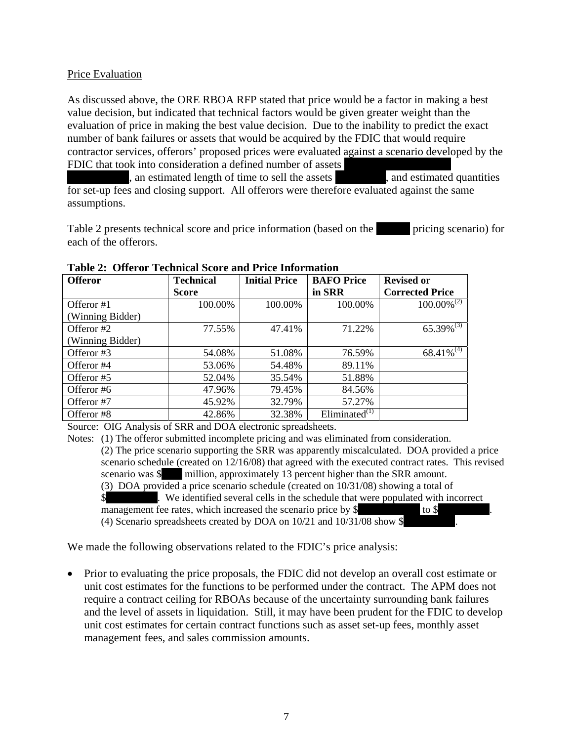#### Price Evaluation

As discussed above, the ORE RBOA RFP stated that price would be a factor in making a best value decision, but indicated that technical factors would be given greater weight than the evaluation of price in making the best value decision. Due to the inability to predict the exact number of bank failures or assets that would be acquired by the FDIC that would require contractor services, offerors' proposed prices were evaluated against a scenario developed by the FDIC that took into consideration a defined number of assets

\*\*\*\*, an estimated length of time to sell the assets \*\*\*\*, and estimated quantities for set-up fees and closing support. All offerors were therefore evaluated against the same assumptions.

Table 2 presents technical score and price information (based on the \*\*\*\* \*\*\* pricing scenario) for each of the offerors.

| <b>Offeror</b>   | <b>Technical</b> | <b>Initial Price</b> | <b>BAFO</b> Price   | <b>Revised or</b>      |
|------------------|------------------|----------------------|---------------------|------------------------|
|                  | <b>Score</b>     |                      | in SRR              | <b>Corrected Price</b> |
| Offeror #1       | 100.00%          | 100.00%              | 100.00%             | $100.00\%^{(2)}$       |
| (Winning Bidder) |                  |                      |                     |                        |
| Offeror #2       | 77.55%           | 47.41%               | 71.22%              | $65.39\%^{(3)}$        |
| (Winning Bidder) |                  |                      |                     |                        |
| Offeror #3       | 54.08%           | 51.08%               | 76.59%              | $68.41\%^{(4)}$        |
| Offeror #4       | 53.06%           | 54.48%               | 89.11%              |                        |
| Offeror #5       | 52.04%           | 35.54%               | 51.88%              |                        |
| Offeror #6       | 47.96%           | 79.45%               | 84.56%              |                        |
| Offeror #7       | 45.92%           | 32.79%               | 57.27%              |                        |
| Offeror #8       | 42.86%           | 32.38%               | Eliminated $^{(1)}$ |                        |

#### **Table 2: Offeror Technical Score and Price Information**

Source: OIG Analysis of SRR and DOA electronic spreadsheets.

Notes: (1) The offeror submitted incomplete pricing and was eliminated from consideration.

(2) The price scenario supporting the SRR was apparently miscalculated. DOA provided a price scenario schedule (created on 12/16/08) that agreed with the executed contract rates. This revised scenario was \$<br>million, approximately 13 percent higher than the SRR amount. million, approximately 13 percent higher than the SRR amount. (3) DOA provided a price scenario schedule (created on 10/31/08) showing a total of

\$ We identified several cells in the schedule that were populated with incorrect management fee rates, which increased the scenario price by \$\*\*\*\*\*\*\*\*\*\*\*\* to \$\*\*\*\*\*\*\*\*\*\*.

(4) Scenario spreadsheets created by DOA on  $10/21$  and  $10/31/08$  show \$

We made the following observations related to the FDIC's price analysis:

• Prior to evaluating the price proposals, the FDIC did not develop an overall cost estimate or unit cost estimates for the functions to be performed under the contract. The APM does not require a contract ceiling for RBOAs because of the uncertainty surrounding bank failures and the level of assets in liquidation. Still, it may have been prudent for the FDIC to develop unit cost estimates for certain contract functions such as asset set-up fees, monthly asset management fees, and sales commission amounts.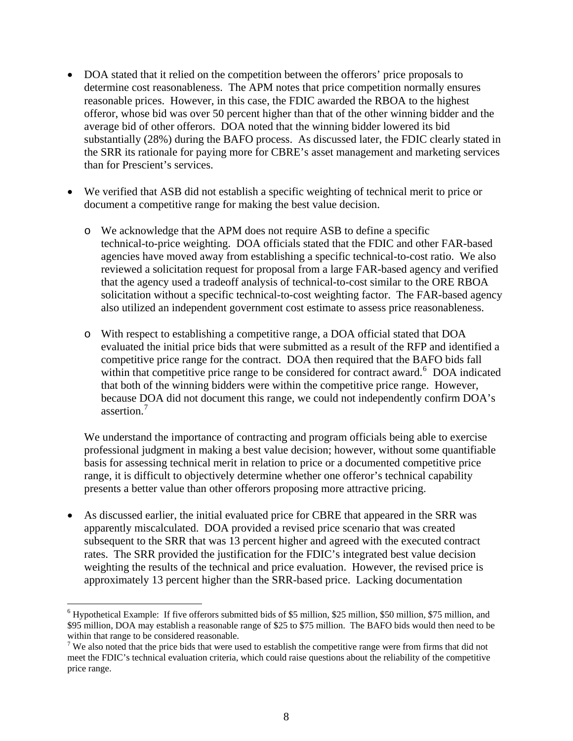- DOA stated that it relied on the competition between the offerors' price proposals to determine cost reasonableness. The APM notes that price competition normally ensures reasonable prices. However, in this case, the FDIC awarded the RBOA to the highest offeror, whose bid was over 50 percent higher than that of the other winning bidder and the average bid of other offerors. DOA noted that the winning bidder lowered its bid substantially (28%) during the BAFO process. As discussed later, the FDIC clearly stated in the SRR its rationale for paying more for CBRE's asset management and marketing services than for Prescient's services.
- We verified that ASB did not establish a specific weighting of technical merit to price or document a competitive range for making the best value decision.
	- o We acknowledge that the APM does not require ASB to define a specific technical-to-price weighting. DOA officials stated that the FDIC and other FAR-based agencies have moved away from establishing a specific technical-to-cost ratio. We also reviewed a solicitation request for proposal from a large FAR-based agency and verified that the agency used a tradeoff analysis of technical-to-cost similar to the ORE RBOA solicitation without a specific technical-to-cost weighting factor. The FAR-based agency also utilized an independent government cost estimate to assess price reasonableness.
	- o With respect to establishing a competitive range, a DOA official stated that DOA evaluated the initial price bids that were submitted as a result of the RFP and identified a competitive price range for the contract. DOA then required that the BAFO bids fall within that competitive price range to be considered for contract award.<sup>[6](#page-11-0)</sup> DOA indicated that both of the winning bidders were within the competitive price range. However, because DOA did not document this range, we could not independently confirm DOA's assertion.<sup>[7](#page-11-1)</sup>

We understand the importance of contracting and program officials being able to exercise professional judgment in making a best value decision; however, without some quantifiable basis for assessing technical merit in relation to price or a documented competitive price range, it is difficult to objectively determine whether one offeror's technical capability presents a better value than other offerors proposing more attractive pricing.

• As discussed earlier, the initial evaluated price for CBRE that appeared in the SRR was apparently miscalculated. DOA provided a revised price scenario that was created subsequent to the SRR that was 13 percent higher and agreed with the executed contract rates. The SRR provided the justification for the FDIC's integrated best value decision weighting the results of the technical and price evaluation. However, the revised price is approximately 13 percent higher than the SRR-based price. Lacking documentation

 $\overline{a}$ 

<span id="page-11-0"></span><sup>&</sup>lt;sup>6</sup> Hypothetical Example: If five offerors submitted bids of \$5 million, \$25 million, \$50 million, \$75 million, and \$95 million, DOA may establish a reasonable range of \$25 to \$75 million. The BAFO bids would then need to be within that range to be considered reasonable.

<span id="page-11-1"></span><sup>&</sup>lt;sup>7</sup> We also noted that the price bids that were used to establish the competitive range were from firms that did not meet the FDIC's technical evaluation criteria, which could raise questions about the reliability of the competitive price range.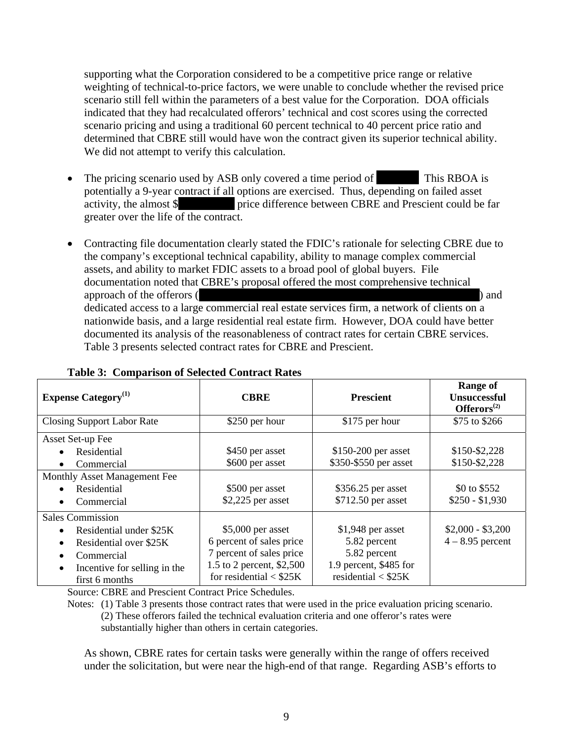supporting what the Corporation considered to be a competitive price range or relative weighting of technical-to-price factors, we were unable to conclude whether the revised price scenario still fell within the parameters of a best value for the Corporation. DOA officials indicated that they had recalculated offerors' technical and cost scores using the corrected scenario pricing and using a traditional 60 percent technical to 40 percent price ratio and determined that CBRE still would have won the contract given its superior technical ability. We did not attempt to verify this calculation.

- The pricing scenario used by ASB only covered a time period of **This RBOA** is potentially a 9-year contract if all options are exercised. Thus, depending on failed asset activity, the almost \$ \*\*\*\*\*\*\*\*\*\*\*\* price difference between CBRE and Prescient could be far greater over the life of the contract.
- Contracting file documentation clearly stated the FDIC's rationale for selecting CBRE due to the company's exceptional technical capability, ability to manage complex commercial assets, and ability to market FDIC assets to a broad pool of global buyers. File documentation noted that CBRE's proposal offered the most comprehensive technical approach of the offerors (\*\*\*\*\*\*\*\*\*\*\*\*\*\*\*\*\*\*\*\*\*\*\*\*\*\*\*\*\*\*\*\*\*\*\*\*\*\*\*\*\*\*\*\*\*\*\*\*\*\*) and dedicated access to a large commercial real estate services firm, a network of clients on a nationwide basis, and a large residential real estate firm. However, DOA could have better documented its analysis of the reasonableness of contract rates for certain CBRE services. Table 3 presents selected contract rates for CBRE and Prescient.

|                                           |                           |                        | Range of                                      |
|-------------------------------------------|---------------------------|------------------------|-----------------------------------------------|
| <b>Expense Category</b> <sup>(1)</sup>    | <b>CBRE</b>               | <b>Prescient</b>       | <b>Unsuccessful</b><br>Offeros <sup>(2)</sup> |
| <b>Closing Support Labor Rate</b>         | \$250 per hour            | \$175 per hour         | \$75 to \$266                                 |
| Asset Set-up Fee                          |                           |                        |                                               |
| Residential                               | \$450 per asset           | \$150-200 per asset    | \$150-\$2,228                                 |
| Commercial<br>٠                           | \$600 per asset           | \$350-\$550 per asset  | \$150-\$2,228                                 |
| Monthly Asset Management Fee              |                           |                        |                                               |
| Residential<br>$\bullet$                  | \$500 per asset           | \$356.25 per asset     | \$0 to \$552                                  |
| Commercial                                | $$2,225$ per asset        | \$712.50 per asset     | $$250 - $1,930$                               |
| <b>Sales Commission</b>                   |                           |                        |                                               |
| Residential under \$25K<br>$\bullet$      | $$5,000$ per asset        | $$1,948$ per asset     | $$2,000 - $3,200$                             |
| Residential over \$25K<br>$\bullet$       | 6 percent of sales price  | 5.82 percent           | $4 - 8.95$ percent                            |
| Commercial<br>$\bullet$                   | 7 percent of sales price  | 5.82 percent           |                                               |
| Incentive for selling in the<br>$\bullet$ | 1.5 to 2 percent, \$2,500 | 1.9 percent, \$485 for |                                               |
| first 6 months                            | for residential $<$ \$25K | residential $<$ \$25K  |                                               |

#### **Table 3: Comparison of Selected Contract Rates**

Source: CBRE and Prescient Contract Price Schedules.

Notes: (1) Table 3 presents those contract rates that were used in the price evaluation pricing scenario. (2) These offerors failed the technical evaluation criteria and one offeror's rates were substantially higher than others in certain categories.

As shown, CBRE rates for certain tasks were generally within the range of offers received under the solicitation, but were near the high-end of that range. Regarding ASB's efforts to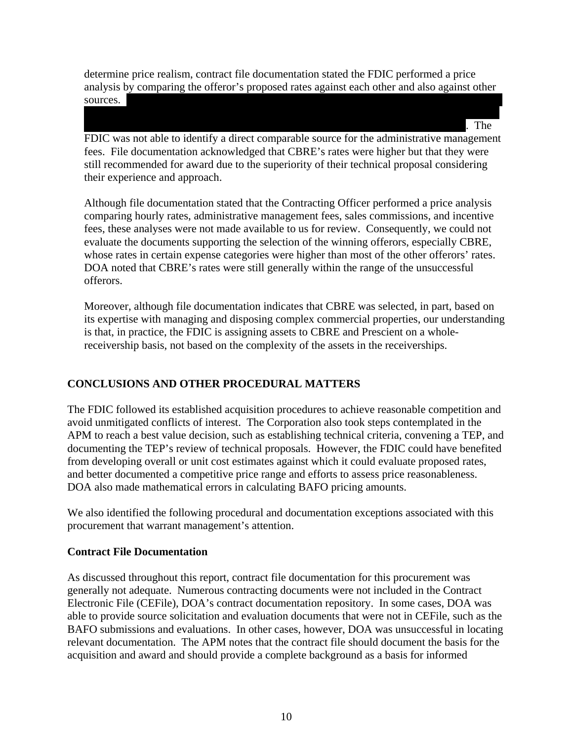determine price realism, contract file documentation stated the FDIC performed a price analysis by comparing the offeror's proposed rates against each other and also against other  $s$ ources.

\*\*\*\*\*\*\*\*\*\*\*\*\*\*\*\*\*\*\*\*\*\*\*\*\*\*\*\*\*\*\*\*\*\*\*\*\*\*\*\*\*\*\*\*\*\*\*\*\*\*\*\*\*\*\*\*\*\*\*\*\*\*\*\*\*\*\*\*\*\*\*\*\*\*

 $\mathbf{F}^*$  The FDIC was not able to identify a direct comparable source for the administrative management fees. File documentation acknowledged that CBRE's rates were higher but that they were still recommended for award due to the superiority of their technical proposal considering their experience and approach.

Although file documentation stated that the Contracting Officer performed a price analysis comparing hourly rates, administrative management fees, sales commissions, and incentive fees, these analyses were not made available to us for review. Consequently, we could not evaluate the documents supporting the selection of the winning offerors, especially CBRE, whose rates in certain expense categories were higher than most of the other offerors' rates. DOA noted that CBRE's rates were still generally within the range of the unsuccessful offerors.

Moreover, although file documentation indicates that CBRE was selected, in part, based on its expertise with managing and disposing complex commercial properties, our understanding is that, in practice, the FDIC is assigning assets to CBRE and Prescient on a wholereceivership basis, not based on the complexity of the assets in the receiverships.

# **CONCLUSIONS AND OTHER PROCEDURAL MATTERS**

The FDIC followed its established acquisition procedures to achieve reasonable competition and avoid unmitigated conflicts of interest. The Corporation also took steps contemplated in the APM to reach a best value decision, such as establishing technical criteria, convening a TEP, and documenting the TEP's review of technical proposals. However, the FDIC could have benefited from developing overall or unit cost estimates against which it could evaluate proposed rates, and better documented a competitive price range and efforts to assess price reasonableness. DOA also made mathematical errors in calculating BAFO pricing amounts.

We also identified the following procedural and documentation exceptions associated with this procurement that warrant management's attention.

## **Contract File Documentation**

As discussed throughout this report, contract file documentation for this procurement was generally not adequate. Numerous contracting documents were not included in the Contract Electronic File (CEFile), DOA's contract documentation repository. In some cases, DOA was able to provide source solicitation and evaluation documents that were not in CEFile, such as the BAFO submissions and evaluations. In other cases, however, DOA was unsuccessful in locating relevant documentation. The APM notes that the contract file should document the basis for the acquisition and award and should provide a complete background as a basis for informed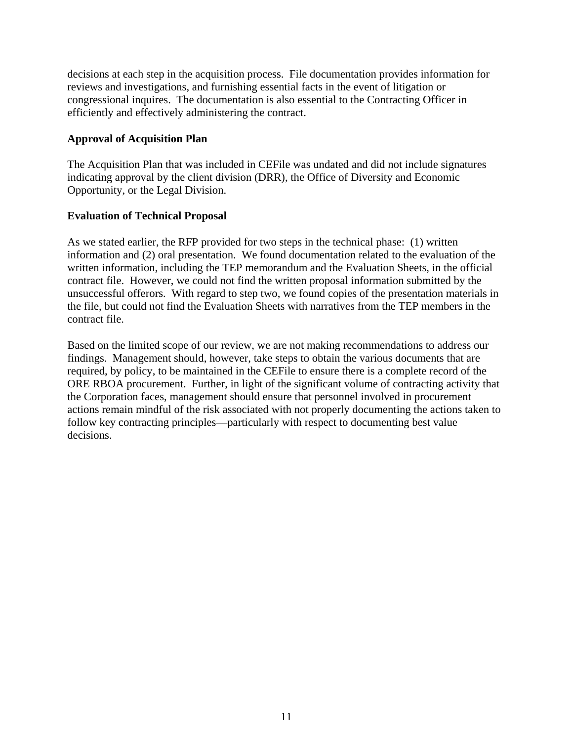decisions at each step in the acquisition process. File documentation provides information for reviews and investigations, and furnishing essential facts in the event of litigation or congressional inquires. The documentation is also essential to the Contracting Officer in efficiently and effectively administering the contract.

## **Approval of Acquisition Plan**

The Acquisition Plan that was included in CEFile was undated and did not include signatures indicating approval by the client division (DRR), the Office of Diversity and Economic Opportunity, or the Legal Division.

#### **Evaluation of Technical Proposal**

As we stated earlier, the RFP provided for two steps in the technical phase: (1) written information and (2) oral presentation. We found documentation related to the evaluation of the written information, including the TEP memorandum and the Evaluation Sheets, in the official contract file. However, we could not find the written proposal information submitted by the unsuccessful offerors. With regard to step two, we found copies of the presentation materials in the file, but could not find the Evaluation Sheets with narratives from the TEP members in the contract file.

Based on the limited scope of our review, we are not making recommendations to address our findings. Management should, however, take steps to obtain the various documents that are required, by policy, to be maintained in the CEFile to ensure there is a complete record of the ORE RBOA procurement. Further, in light of the significant volume of contracting activity that the Corporation faces, management should ensure that personnel involved in procurement actions remain mindful of the risk associated with not properly documenting the actions taken to follow key contracting principles—particularly with respect to documenting best value decisions.